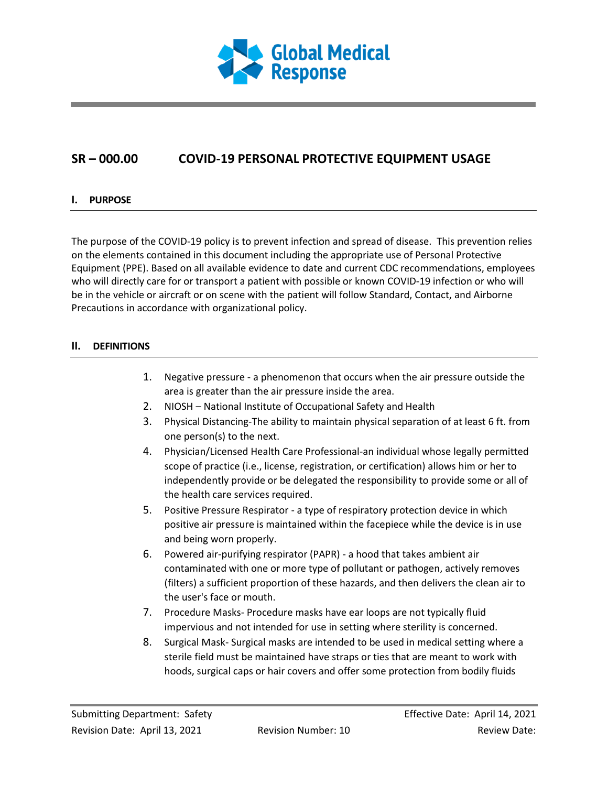

# **SR – 000.00 COVID-19 PERSONAL PROTECTIVE EQUIPMENT USAGE**

# **I. PURPOSE**

The purpose of the COVID-19 policy is to prevent infection and spread of disease. This prevention relies on the elements contained in this document including the appropriate use of Personal Protective Equipment (PPE). Based on all available evidence to date and current CDC recommendations, employees who will directly care for or transport a patient with possible or known COVID-19 infection or who will be in the vehicle or aircraft or on scene with the patient will follow Standard, Contact, and Airborne Precautions in accordance with organizational policy.

# **II. DEFINITIONS**

- 1. Negative pressure a phenomenon that occurs when the air pressure outside the area is greater than the air pressure inside the area.
- 2. NIOSH National Institute of Occupational Safety and Health
- 3. Physical Distancing-The ability to maintain physical separation of at least 6 ft. from one person(s) to the next.
- 4. Physician/Licensed Health Care Professional-an individual whose legally permitted scope of practice (i.e., license, registration, or certification) allows him or her to independently provide or be delegated the responsibility to provide some or all of the health care services required.
- 5. Positive Pressure Respirator a type of respiratory protection device in which positive air pressure is maintained within the facepiece while the device is in use and being worn properly.
- 6. Powered air-purifying respirator (PAPR) a hood that takes ambient air contaminated with one or more type of pollutant or pathogen, actively removes (filters) a sufficient proportion of these hazards, and then delivers the clean air to the user's face or mouth.
- 7. Procedure Masks- Procedure masks have ear loops are not typically fluid impervious and not intended for use in setting where sterility is concerned.
- 8. Surgical Mask- Surgical masks are intended to be used in medical setting where a sterile field must be maintained have straps or ties that are meant to work with hoods, surgical caps or hair covers and offer some protection from bodily fluids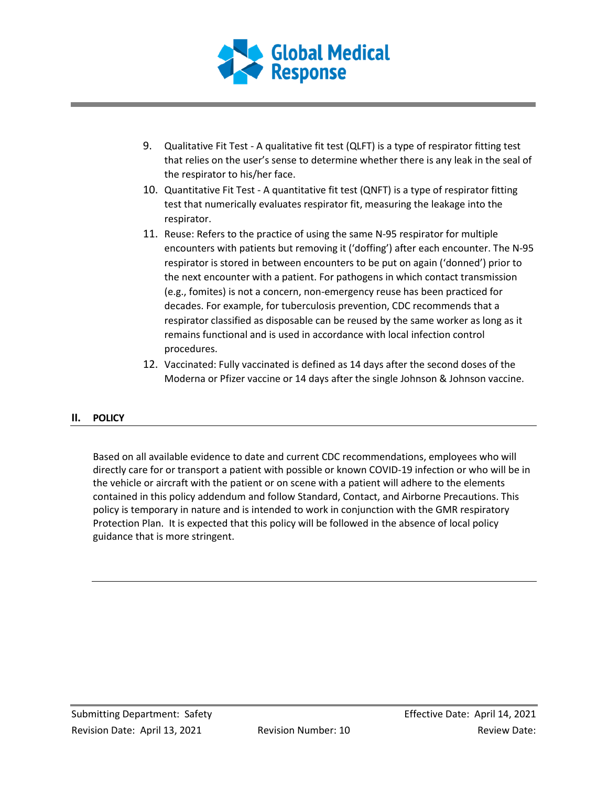

- 9. Qualitative Fit Test A qualitative fit test (QLFT) is a type of respirator fitting test that relies on the user's sense to determine whether there is any leak in the seal of the respirator to his/her face.
- 10. Quantitative Fit Test A quantitative fit test (QNFT) is a type of respirator fitting test that numerically evaluates respirator fit, measuring the leakage into the respirator.
- 11. Reuse: Refers to the practice of using the same N-95 respirator for multiple encounters with patients but removing it ('doffing') after each encounter. The N-95 respirator is stored in between encounters to be put on again ('donned') prior to the next encounter with a patient. For pathogens in which contact transmission (e.g., fomites) is not a concern, non-emergency reuse has been practiced for decades. For example, for tuberculosis prevention, CDC recommends that a respirator classified as disposable can be reused by the same worker as long as it remains functional and is used in accordance with local infection control procedures.
- 12. Vaccinated: Fully vaccinated is defined as 14 days after the second doses of the Moderna or Pfizer vaccine or 14 days after the single Johnson & Johnson vaccine.

# **II. POLICY**

Based on all available evidence to date and current CDC recommendations, employees who will directly care for or transport a patient with possible or known COVID-19 infection or who will be in the vehicle or aircraft with the patient or on scene with a patient will adhere to the elements contained in this policy addendum and follow Standard, Contact, and Airborne Precautions. This policy is temporary in nature and is intended to work in conjunction with the GMR respiratory Protection Plan. It is expected that this policy will be followed in the absence of local policy guidance that is more stringent.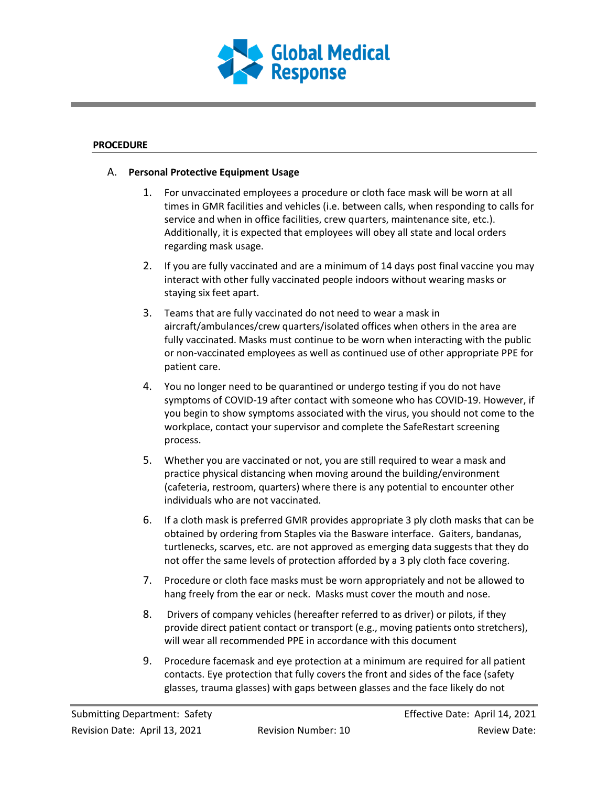

#### **PROCEDURE**

#### A. **Personal Protective Equipment Usage**

- 1. For unvaccinated employees a procedure or cloth face mask will be worn at all times in GMR facilities and vehicles (i.e. between calls, when responding to calls for service and when in office facilities, crew quarters, maintenance site, etc.). Additionally, it is expected that employees will obey all state and local orders regarding mask usage.
- 2. If you are fully vaccinated and are a minimum of 14 days post final vaccine you may interact with other fully vaccinated people indoors without wearing masks or staying six feet apart.
- 3. Teams that are fully vaccinated do not need to wear a mask in aircraft/ambulances/crew quarters/isolated offices when others in the area are fully vaccinated. Masks must continue to be worn when interacting with the public or non-vaccinated employees as well as continued use of other appropriate PPE for patient care.
- 4. You no longer need to be quarantined or undergo testing if you do not have symptoms of COVID-19 after contact with someone who has COVID-19. However, if you begin to show symptoms associated with the virus, you should not come to the workplace, contact your supervisor and complete the SafeRestart screening process.
- 5. Whether you are vaccinated or not, you are still required to wear a mask and practice physical distancing when moving around the building/environment (cafeteria, restroom, quarters) where there is any potential to encounter other individuals who are not vaccinated.
- 6. If a cloth mask is preferred GMR provides appropriate 3 ply cloth masks that can be obtained by ordering from Staples via the Basware interface. Gaiters, bandanas, turtlenecks, scarves, etc. are not approved as emerging data suggests that they do not offer the same levels of protection afforded by a 3 ply cloth face covering.
- 7. Procedure or cloth face masks must be worn appropriately and not be allowed to hang freely from the ear or neck. Masks must cover the mouth and nose.
- 8. Drivers of company vehicles (hereafter referred to as driver) or pilots, if they provide direct patient contact or transport (e.g., moving patients onto stretchers), will wear all recommended PPE in accordance with this document
- 9. Procedure facemask and eye protection at a minimum are required for all patient contacts. Eye protection that fully covers the front and sides of the face (safety glasses, trauma glasses) with gaps between glasses and the face likely do not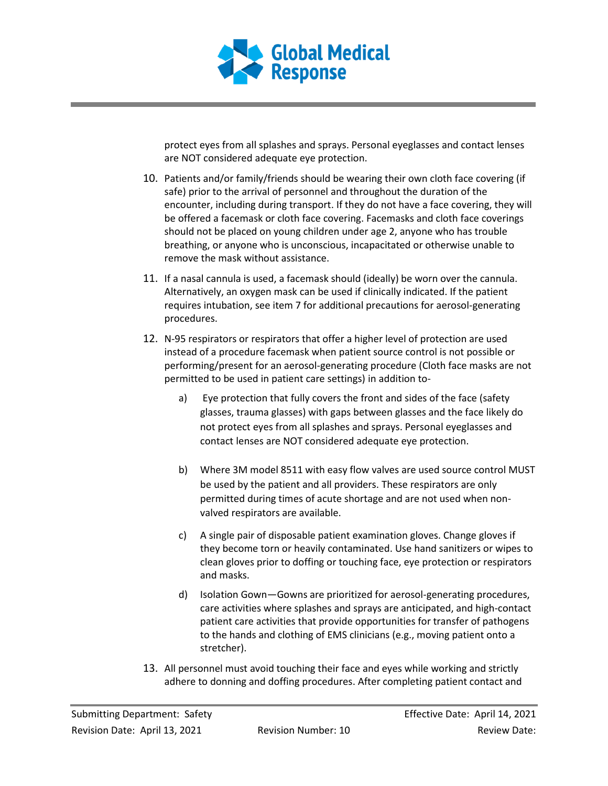

protect eyes from all splashes and sprays. Personal eyeglasses and contact lenses are NOT considered adequate eye protection.

- 10. Patients and/or family/friends should be wearing their own cloth face covering (if safe) prior to the arrival of personnel and throughout the duration of the encounter, including during transport. If they do not have a face covering, they will be offered a facemask or cloth face covering. Facemasks and cloth face coverings should not be placed on young children under age 2, anyone who has trouble breathing, or anyone who is unconscious, incapacitated or otherwise unable to remove the mask without assistance.
- 11. If a nasal cannula is used, a facemask should (ideally) be worn over the cannula. Alternatively, an oxygen mask can be used if clinically indicated. If the patient requires intubation, see item 7 for additional precautions for aerosol-generating procedures.
- 12. N-95 respirators or respirators that offer a higher level of protection are used instead of a procedure facemask when patient source control is not possible or performing/present for an aerosol-generating procedure (Cloth face masks are not permitted to be used in patient care settings) in addition to
	- a) Eye protection that fully covers the front and sides of the face (safety glasses, trauma glasses) with gaps between glasses and the face likely do not protect eyes from all splashes and sprays. Personal eyeglasses and contact lenses are NOT considered adequate eye protection.
	- b) Where 3M model 8511 with easy flow valves are used source control MUST be used by the patient and all providers. These respirators are only permitted during times of acute shortage and are not used when nonvalved respirators are available.
	- c) A single pair of disposable patient examination gloves. Change gloves if they become torn or heavily contaminated. Use hand sanitizers or wipes to clean gloves prior to doffing or touching face, eye protection or respirators and masks.
	- d) Isolation Gown—Gowns are prioritized for aerosol-generating procedures, care activities where splashes and sprays are anticipated, and high-contact patient care activities that provide opportunities for transfer of pathogens to the hands and clothing of EMS clinicians (e.g., moving patient onto a stretcher).
- 13. All personnel must avoid touching their face and eyes while working and strictly adhere to donning and doffing procedures. After completing patient contact and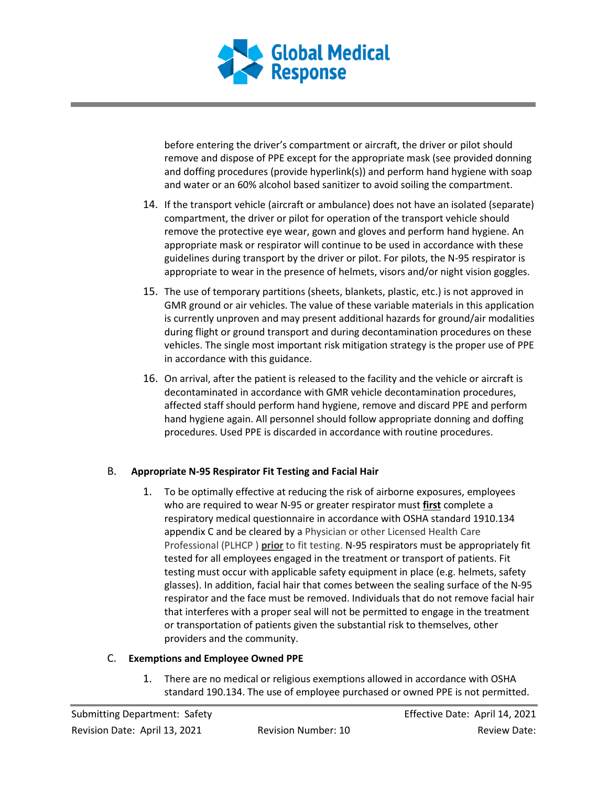

before entering the driver's compartment or aircraft, the driver or pilot should remove and dispose of PPE except for the appropriate mask (see provided donning and doffing procedures (provide hyperlink(s)) and perform hand hygiene with soap and water or an 60% alcohol based sanitizer to avoid soiling the compartment.

- 14. If the transport vehicle (aircraft or ambulance) does not have an isolated (separate) compartment, the driver or pilot for operation of the transport vehicle should remove the protective eye wear, gown and gloves and perform hand hygiene. An appropriate mask or respirator will continue to be used in accordance with these guidelines during transport by the driver or pilot. For pilots, the N-95 respirator is appropriate to wear in the presence of helmets, visors and/or night vision goggles.
- 15. The use of temporary partitions (sheets, blankets, plastic, etc.) is not approved in GMR ground or air vehicles. The value of these variable materials in this application is currently unproven and may present additional hazards for ground/air modalities during flight or ground transport and during decontamination procedures on these vehicles. The single most important risk mitigation strategy is the proper use of PPE in accordance with this guidance.
- 16. On arrival, after the patient is released to the facility and the vehicle or aircraft is decontaminated in accordance with GMR vehicle decontamination procedures, affected staff should perform hand hygiene, remove and discard PPE and perform hand hygiene again. All personnel should follow appropriate donning and doffing procedures. Used PPE is discarded in accordance with routine procedures.

# B. **Appropriate N-95 Respirator Fit Testing and Facial Hair**

1. To be optimally effective at reducing the risk of airborne exposures, employees who are required to wear N-95 or greater respirator must **first** complete a respiratory medical questionnaire in accordance with OSHA standard 1910.134 appendix C and be cleared by a Physician or other Licensed Health Care Professional (PLHCP ) **prior** to fit testing. N-95 respirators must be appropriately fit tested for all employees engaged in the treatment or transport of patients. Fit testing must occur with applicable safety equipment in place (e.g. helmets, safety glasses). In addition, facial hair that comes between the sealing surface of the N-95 respirator and the face must be removed. Individuals that do not remove facial hair that interferes with a proper seal will not be permitted to engage in the treatment or transportation of patients given the substantial risk to themselves, other providers and the community.

# C. **Exemptions and Employee Owned PPE**

1. There are no medical or religious exemptions allowed in accordance with OSHA standard 190.134. The use of employee purchased or owned PPE is not permitted.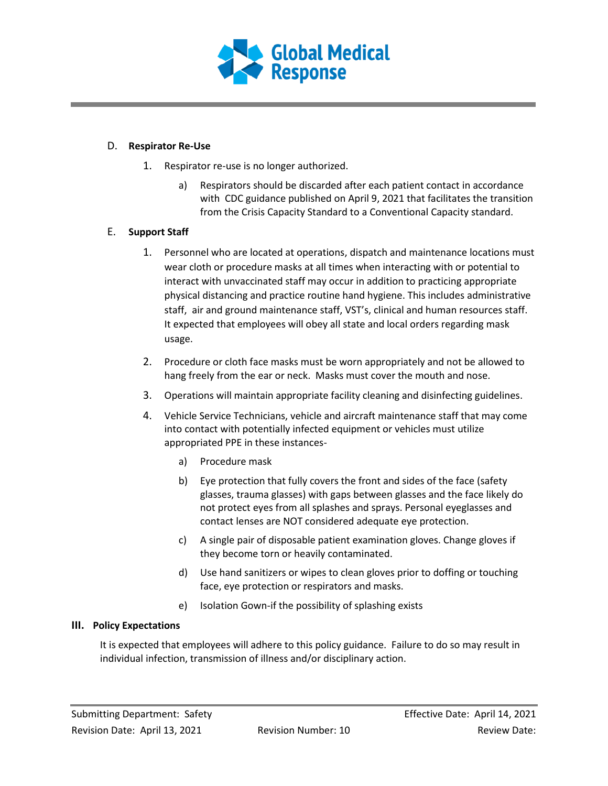

#### D. **Respirator Re-Use**

- 1. Respirator re-use is no longer authorized.
	- a) Respirators should be discarded after each patient contact in accordance with CDC guidance published on April 9, 2021 that facilitates the transition from the Crisis Capacity Standard to a Conventional Capacity standard.

# E. **Support Staff**

- 1. Personnel who are located at operations, dispatch and maintenance locations must wear cloth or procedure masks at all times when interacting with or potential to interact with unvaccinated staff may occur in addition to practicing appropriate physical distancing and practice routine hand hygiene. This includes administrative staff, air and ground maintenance staff, VST's, clinical and human resources staff. It expected that employees will obey all state and local orders regarding mask usage.
- 2. Procedure or cloth face masks must be worn appropriately and not be allowed to hang freely from the ear or neck. Masks must cover the mouth and nose.
- 3. Operations will maintain appropriate facility cleaning and disinfecting guidelines.
- 4. Vehicle Service Technicians, vehicle and aircraft maintenance staff that may come into contact with potentially infected equipment or vehicles must utilize appropriated PPE in these instances
	- a) Procedure mask
	- b) Eye protection that fully covers the front and sides of the face (safety glasses, trauma glasses) with gaps between glasses and the face likely do not protect eyes from all splashes and sprays. Personal eyeglasses and contact lenses are NOT considered adequate eye protection.
	- c) A single pair of disposable patient examination gloves. Change gloves if they become torn or heavily contaminated.
	- d) Use hand sanitizers or wipes to clean gloves prior to doffing or touching face, eye protection or respirators and masks.
	- e) Isolation Gown-if the possibility of splashing exists

# **III. Policy Expectations**

It is expected that employees will adhere to this policy guidance. Failure to do so may result in individual infection, transmission of illness and/or disciplinary action.